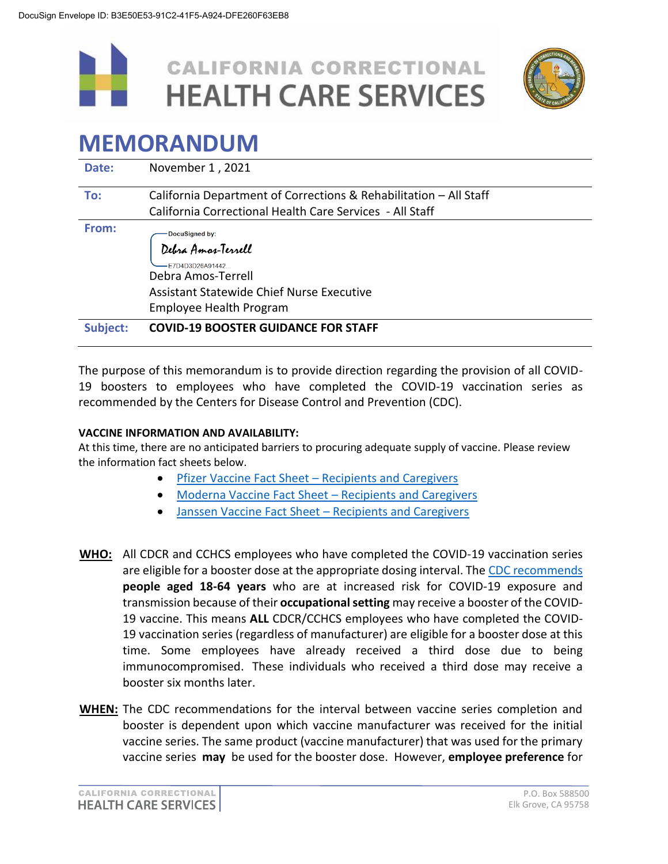



## **MEMORANDUM**

| Date:           | November 1, 2021                                                                                                                                             |  |  |
|-----------------|--------------------------------------------------------------------------------------------------------------------------------------------------------------|--|--|
| To:             | California Department of Corrections & Rehabilitation - All Staff<br>California Correctional Health Care Services - All Staff                                |  |  |
| From:           | DocuSigned by:<br>Debra Amar-Terrell<br>F7D4D3D26A91442<br>Debra Amos-Terrell<br>Assistant Statewide Chief Nurse Executive<br><b>Employee Health Program</b> |  |  |
| <b>Subject:</b> | <b>COVID-19 BOOSTER GUIDANCE FOR STAFF</b>                                                                                                                   |  |  |

The purpose of this memorandum is to provide direction regarding the provision of all COVID-19 boosters to employees who have completed the COVID-19 vaccination series as recommended by the Centers for Disease Control and Prevention (CDC).

## **VACCINE INFORMATION AND AVAILABILITY:**

At this time, there are no anticipated barriers to procuring adequate supply of vaccine. Please review the information fact sheets below.

- **•** Pfizer Vaccine Fact Sheet [Recipients and Caregivers](https://www.fda.gov/media/153716/download)
- [Moderna Vaccine Fact Sheet](https://www.fda.gov/media/144638/download)  Recipients and Caregivers
- [Janssen Vaccine Fact Sheet](https://www.fda.gov/media/146305/download)  Recipients and Caregivers
- **WHO:** All CDCR and CCHCS employees who have completed the COVID-19 vaccination series are eligible for a booster dose at the appropriate dosing interval. Th[e CDC recommends](https://www.cdc.gov/coronavirus/2019-ncov/vaccines/booster-shot.html) **people aged 18-64 years** who are at increased risk for COVID-19 exposure and transmission because of their **occupational setting** may receive a booster of the COVID-19 vaccine. This means **ALL** CDCR/CCHCS employees who have completed the COVID-19 vaccination series (regardless of manufacturer) are eligible for a booster dose at this time. Some employees have already received a third dose due to being immunocompromised. These individuals who received a third dose may receive a booster six months later.
- **WHEN:** The CDC recommendations for the interval between vaccine series completion and booster is dependent upon which vaccine manufacturer was received for the initial vaccine series. The same product (vaccine manufacturer) that was used for the primary vaccine series **may** be used for the booster dose. However, **employee preference** for